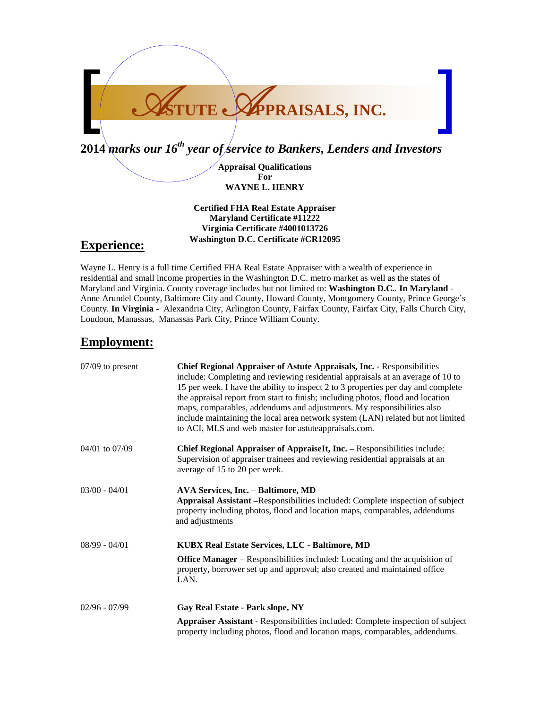

**Appraisal Qualifications For WAYNE L. HENRY**

**Certified FHA Real Estate Appraiser Maryland Certificate #11222 Virginia Certificate #4001013726 Washington D.C. Certificate #CR12095**

### **Experience:**

Wayne L. Henry is a full time Certified FHA Real Estate Appraiser with a wealth of experience in residential and small income properties in the Washington D.C. metro market as well as the states of Maryland and Virginia. County coverage includes but not limited to: **Washington D.C.**. **In Maryland** - Anne Arundel County, Baltimore City and County, Howard County, Montgomery County, Prince George's County. **In Virginia** - Alexandria City, Arlington County, Fairfax County, Fairfax City, Falls Church City, Loudoun, Manassas, Manassas Park City, Prince William County.

## **Employment:**

| $07/09$ to present | <b>Chief Regional Appraiser of Astute Appraisals, Inc. - Responsibilities</b><br>include: Completing and reviewing residential appraisals at an average of 10 to<br>15 per week. I have the ability to inspect 2 to 3 properties per day and complete<br>the appraisal report from start to finish; including photos, flood and location<br>maps, comparables, addendums and adjustments. My responsibilities also<br>include maintaining the local area network system (LAN) related but not limited<br>to ACI, MLS and web master for astute appraisals.com. |  |
|--------------------|----------------------------------------------------------------------------------------------------------------------------------------------------------------------------------------------------------------------------------------------------------------------------------------------------------------------------------------------------------------------------------------------------------------------------------------------------------------------------------------------------------------------------------------------------------------|--|
| $04/01$ to $07/09$ | Chief Regional Appraiser of AppraiseIt, Inc. - Responsibilities include:<br>Supervision of appraiser trainees and reviewing residential appraisals at an<br>average of 15 to 20 per week.                                                                                                                                                                                                                                                                                                                                                                      |  |
| $03/00 - 04/01$    | <b>AVA Services, Inc. - Baltimore, MD</b><br>Appraisal Assistant -Responsibilities included: Complete inspection of subject<br>property including photos, flood and location maps, comparables, addendums<br>and adjustments                                                                                                                                                                                                                                                                                                                                   |  |
| $08/99 - 04/01$    | KUBX Real Estate Services, LLC - Baltimore, MD                                                                                                                                                                                                                                                                                                                                                                                                                                                                                                                 |  |
|                    | <b>Office Manager</b> – Responsibilities included: Locating and the acquisition of<br>property, borrower set up and approval; also created and maintained office<br>LAN.                                                                                                                                                                                                                                                                                                                                                                                       |  |
| $02/96 - 07/99$    | Gay Real Estate - Park slope, NY                                                                                                                                                                                                                                                                                                                                                                                                                                                                                                                               |  |
|                    | <b>Appraiser Assistant</b> - Responsibilities included: Complete inspection of subject<br>property including photos, flood and location maps, comparables, addendums.                                                                                                                                                                                                                                                                                                                                                                                          |  |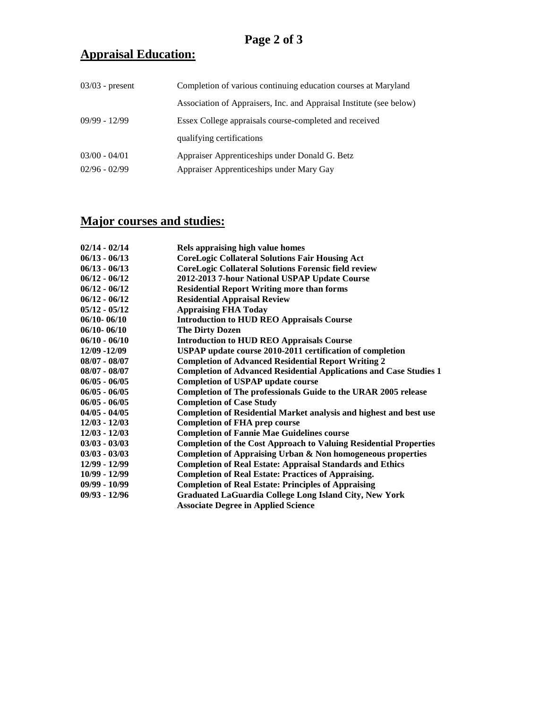# **Appraisal Education:**

| $03/03$ - present | Completion of various continuing education courses at Maryland      |  |
|-------------------|---------------------------------------------------------------------|--|
|                   | Association of Appraisers, Inc. and Appraisal Institute (see below) |  |
| $09/99 - 12/99$   | Essex College appraisals course-completed and received              |  |
|                   | qualifying certifications                                           |  |
| $03/00 - 04/01$   | Appraiser Apprenticeships under Donald G. Betz                      |  |
| $02/96 - 02/99$   | Appraiser Apprenticeships under Mary Gay                            |  |

# **Major courses and studies:**

| $02/14 - 02/14$ |                                                                           |
|-----------------|---------------------------------------------------------------------------|
|                 | Rels appraising high value homes                                          |
| $06/13 - 06/13$ | <b>CoreLogic Collateral Solutions Fair Housing Act</b>                    |
| $06/13 - 06/13$ | <b>CoreLogic Collateral Solutions Forensic field review</b>               |
| $06/12 - 06/12$ | 2012-2013 7-hour National USPAP Update Course                             |
| $06/12 - 06/12$ | <b>Residential Report Writing more than forms</b>                         |
| $06/12 - 06/12$ | <b>Residential Appraisal Review</b>                                       |
| $05/12 - 05/12$ | <b>Appraising FHA Today</b>                                               |
| $06/10 - 06/10$ | <b>Introduction to HUD REO Appraisals Course</b>                          |
| $06/10 - 06/10$ | <b>The Dirty Dozen</b>                                                    |
| $06/10 - 06/10$ | <b>Introduction to HUD REO Appraisals Course</b>                          |
| 12/09 -12/09    | USPAP update course 2010-2011 certification of completion                 |
| $08/07 - 08/07$ | <b>Completion of Advanced Residential Report Writing 2</b>                |
| $08/07 - 08/07$ | <b>Completion of Advanced Residential Applications and Case Studies 1</b> |
| $06/05 - 06/05$ | <b>Completion of USPAP update course</b>                                  |
| $06/05 - 06/05$ | Completion of The professionals Guide to the URAR 2005 release            |
| $06/05 - 06/05$ | <b>Completion of Case Study</b>                                           |
| $04/05 - 04/05$ | Completion of Residential Market analysis and highest and best use        |
| $12/03 - 12/03$ | <b>Completion of FHA prep course</b>                                      |
| $12/03 - 12/03$ | <b>Completion of Fannie Mae Guidelines course</b>                         |
| $03/03 - 03/03$ | <b>Completion of the Cost Approach to Valuing Residential Properties</b>  |
| $03/03 - 03/03$ | Completion of Appraising Urban & Non homogeneous properties               |
| 12/99 - 12/99   | <b>Completion of Real Estate: Appraisal Standards and Ethics</b>          |
| $10/99 - 12/99$ | <b>Completion of Real Estate: Practices of Appraising.</b>                |
| $09/99 - 10/99$ | <b>Completion of Real Estate: Principles of Appraising</b>                |
| $09/93 - 12/96$ | <b>Graduated LaGuardia College Long Island City, New York</b>             |
|                 | <b>Associate Degree in Applied Science</b>                                |
|                 |                                                                           |